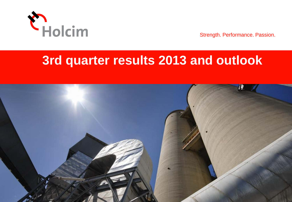

Strength. Performance. Passion.

## **3rd quarter results 2013 and outlook**

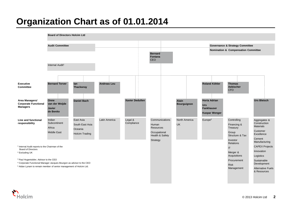#### **Organization Chart as of 01.01.2014**

1 Internal Audit reports to the Chairman of the Board of Directors <sup>2</sup> Excluding UK <sup>3</sup> Paul Hugentobler, Advisor to the CEO <sup>4</sup> Corporate Functional Manager Jacques Bourgon as advisor to the CEO <sup>5</sup> Aidan Lynam to remain member of senior management of Holcim Ltd. **Area Managers/ Corporate Functional Managers Line and functional responsibility Executive Committee** Internal Audit<sup>1</sup> **Governance & Strategy Committee Nomination & Compensation Committee Board of Directors Holcim Ltd Audit Committee Bernard Fontana CEO Bernard Terver Andreas Leu Thomas Aebischer CFO Horia Adrian Urs Fankhauser Kaspar Wenger Onne van der Weijde Javier de Benito** Latin America Legal & Communications North America Human Resources **Occupational** Health & Safety **Strategy** Aggregates & Construction **Materials** Customer Excellence Cement Manufacturing CAPEX Projects Innovation Logistics Sustainable Development Alternative Fuels & Resources **Controlling** Financing & **Treasury** Group Structure & Tax Investor Relations IT Merger & **Acquisitions** Procurement Risk Management **Ian Thackwray** Indian **Subcontinent** Africa Middle East East Asia South East Asia Oceania Holcim Trading UK Europe<sup>2</sup> **Xavier Dedullen Urs Bleisch** Legal & **Compliance Daniel Bach Roland Köhler Alain Bourguignon**

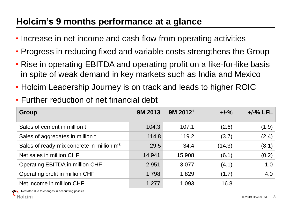#### **Holcim's 9 months performance at a glance**

- Increase in net income and cash flow from operating activities
- Progress in reducing fixed and variable costs strengthens the Group
- Rise in operating EBITDA and operating profit on a like-for-like basis in spite of weak demand in key markets such as India and Mexico
- Holcim Leadership Journey is on track and leads to higher ROIC
- Further reduction of net financial debt

| Group                                                 | <b>9M 2013</b> | $9M$ 2012 <sup>1</sup> | $+/-\%$ | $+/-%$ LFL |
|-------------------------------------------------------|----------------|------------------------|---------|------------|
| Sales of cement in million t                          | 104.3          | 107.1                  | (2.6)   | (1.9)      |
| Sales of aggregates in million t                      | 114.8          | 119.2                  | (3.7)   | (2.4)      |
| Sales of ready-mix concrete in million m <sup>3</sup> | 29.5           | 34.4                   | (14.3)  | (8.1)      |
| Net sales in million CHF                              | 14,941         | 15,908                 | (6.1)   | (0.2)      |
| Operating EBITDA in million CHF                       | 2,951          | 3,077                  | (4.1)   | 1.0        |
| Operating profit in million CHF                       | 1,798          | 1,829                  | (1.7)   | 4.0        |
| Net income in million CHF                             | 1,277          | 1,093                  | 16.8    |            |

estated due to changes in accounting policies.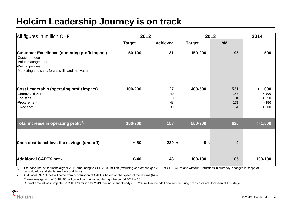#### **Holcim Leadership Journey is on track**

| All figures in million CHF                                                                                                                                             | 2012          |                            | 2013          | 2014                            |                                             |
|------------------------------------------------------------------------------------------------------------------------------------------------------------------------|---------------|----------------------------|---------------|---------------------------------|---------------------------------------------|
|                                                                                                                                                                        | <b>Target</b> | achieved                   | <b>Target</b> | <b>9M</b>                       |                                             |
| <b>Customer Excellence (operating profit impact)</b><br>-Customer focus<br>-Value management<br>-Pricing policies<br>-Marketing and sales forces skills and motivation | 50-100        | 31                         | 150-200       | 95                              | 500                                         |
| Cost Leadership (operating profit impact)<br>-Energy and AFR<br>-Logistics<br>-Procurement<br>-Fixed cost                                                              | 100-200       | 127<br>40<br>0<br>48<br>39 | 400-500       | 531<br>146<br>104<br>131<br>151 | > 1,000<br>> 300<br>> 250<br>> 250<br>> 200 |
| Total increase in operating profit <sup>1)</sup>                                                                                                                       | 150-300       | 158                        | 550-700       | 626                             | > 1,500                                     |
| Cash cost to achieve the savings (one-off)                                                                                                                             | < 80          | $239$ 3)                   | 03)           | $\bf{0}$                        |                                             |
| Additional CAPEX net 2)                                                                                                                                                | $0 - 40$      | 48                         | 100-180       | 105                             | 100-180                                     |

1) The base line is the financial year 2011 amounting to CHF 2,308 million (excluding one-off charges 2011 of CHF 375 m and without fluctuations in currency, changes in scope of consolidation and similar market conditions)

2) Additional CAPEX net will come from prioritization of CAPEX based on the speed of the returns (ROIC). Current energy fund of CHF 100 million will be maintained through the period 2012 – 2014

3) Original amount was projected < CHF 120 million for 2013; having spent already CHF 239 million, no additional restructuring cash costs are foreseen at this stage

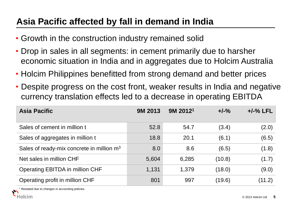#### **Asia Pacific affected by fall in demand in India**

- Growth in the construction industry remained solid
- Drop in sales in all segments: in cement primarily due to harsher economic situation in India and in aggregates due to Holcim Australia
- Holcim Philippines benefitted from strong demand and better prices
- Despite progress on the cost front, weaker results in India and negative currency translation effects led to a decrease in operating EBITDA

| <b>Asia Pacific</b>                         | <b>9M 2013</b> | 9M 2012 <sup>1</sup> | $+/-\%$ | $+/-\%$ LFL |
|---------------------------------------------|----------------|----------------------|---------|-------------|
| Sales of cement in million t                | 52.8           | 54.7                 | (3.4)   | (2.0)       |
| Sales of aggregates in million t            | 18.8           | 20.1                 | (6.1)   | (6.5)       |
| Sales of ready-mix concrete in million $m3$ | 8.0            | 8.6                  | (6.5)   | (1.8)       |
| Net sales in million CHF                    | 5,604          | 6,285                | (10.8)  | (1.7)       |
| Operating EBITDA in million CHF             | 1,131          | 1,379                | (18.0)  | (9.0)       |
| Operating profit in million CHF             | 801            | 997                  | (19.6)  | (11.2)      |

Restated due to changes in accounting policies.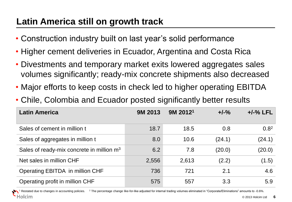#### **Latin America still on growth track**

- Construction industry built on last year's solid performance
- Higher cement deliveries in Ecuador, Argentina and Costa Rica
- Divestments and temporary market exits lowered aggregates sales volumes significantly; ready-mix concrete shipments also decreased
- Major efforts to keep costs in check led to higher operating EBITDA
- Chile, Colombia and Ecuador posted significantly better results

| <b>Latin America</b>                                  | <b>9M 2013</b> | 9M 2012 <sup>1</sup> | $+/-\%$ | $+/-%$ LFL       |
|-------------------------------------------------------|----------------|----------------------|---------|------------------|
| Sales of cement in million t                          | 18.7           | 18.5                 | 0.8     | 0.8 <sup>2</sup> |
| Sales of aggregates in million t                      | 8.0            | 10.6                 | (24.1)  | (24.1)           |
| Sales of ready-mix concrete in million m <sup>3</sup> | 6.2            | 7.8                  | (20.0)  | (20.0)           |
| Net sales in million CHF                              | 2,556          | 2,613                | (2.2)   | (1.5)            |
| Operating EBITDA in million CHF                       | 736            | 721                  | 2.1     | 4.6              |
| Operating profit in million CHF                       | 575            | 557                  | 3.3     | 5.9              |

Restated due to changes in accounting policies. <sup>2</sup> The percentage change like-for-like adjusted for internal trading volumes eliminated in "Corporate/Eliminations" amounts to -0.6%. Holcim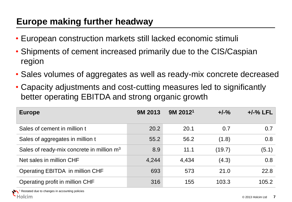#### **Europe making further headway**

- European construction markets still lacked economic stimuli
- Shipments of cement increased primarily due to the CIS/Caspian region
- Sales volumes of aggregates as well as ready-mix concrete decreased
- Capacity adjustments and cost-cutting measures led to significantly better operating EBITDA and strong organic growth

| <b>Europe</b>                                         | <b>9M 2013</b> | $9M$ 2012 <sup>1</sup> | $+/-\%$ | $+/-\%$ LFL |
|-------------------------------------------------------|----------------|------------------------|---------|-------------|
| Sales of cement in million t                          | 20.2           | 20.1                   | 0.7     | 0.7         |
| Sales of aggregates in million t                      | 55.2           | 56.2                   | (1.8)   | 0.8         |
| Sales of ready-mix concrete in million m <sup>3</sup> | 8.9            | 11.1                   | (19.7)  | (5.1)       |
| Net sales in million CHF                              | 4,244          | 4,434                  | (4.3)   | 0.8         |
| Operating EBITDA in million CHF                       | 693            | 573                    | 21.0    | 22.8        |
| Operating profit in million CHF                       | 316            | 155                    | 103.3   | 105.2       |

Restated due to changes in accounting policies lolcim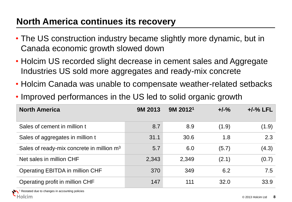#### **North America continues its recovery**

- The US construction industry became slightly more dynamic, but in Canada economic growth slowed down
- Holcim US recorded slight decrease in cement sales and Aggregate Industries US sold more aggregates and ready-mix concrete
- Holcim Canada was unable to compensate weather-related setbacks
- Improved performances in the US led to solid organic growth

| <b>North America</b>                                  | <b>9M 2013</b> | 9M 2012 <sup>1</sup> | $+/-\%$ | $+/-%$ LFL |
|-------------------------------------------------------|----------------|----------------------|---------|------------|
| Sales of cement in million t                          | 8.7            | 8.9                  | (1.9)   | (1.9)      |
| Sales of aggregates in million t                      | 31.1           | 30.6                 | 1.8     | 2.3        |
| Sales of ready-mix concrete in million m <sup>3</sup> | 5.7            | 6.0                  | (5.7)   | (4.3)      |
| Net sales in million CHF                              | 2,343          | 2,349                | (2.1)   | (0.7)      |
| <b>Operating EBITDA in million CHF</b>                | 370            | 349                  | 6.2     | 7.5        |
| Operating profit in million CHF                       | 147            | 111                  | 32.0    | 33.9       |

estated due to changes in accounting policies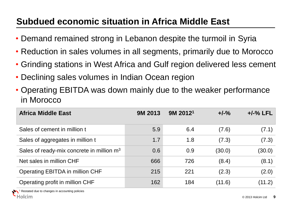## **Subdued economic situation in Africa Middle East**

- Demand remained strong in Lebanon despite the turmoil in Syria
- Reduction in sales volumes in all segments, primarily due to Morocco
- Grinding stations in West Africa and Gulf region delivered less cement
- Declining sales volumes in Indian Ocean region
- Operating EBITDA was down mainly due to the weaker performance in Morocco

| <b>Africa Middle East</b>                             | <b>9M 2013</b> | $9M$ 2012 <sup>1</sup> | $+/-\%$ | $+/-%$ LFL |
|-------------------------------------------------------|----------------|------------------------|---------|------------|
| Sales of cement in million t                          | 5.9            | 6.4                    | (7.6)   | (7.1)      |
| Sales of aggregates in million t                      | 1.7            | 1.8                    | (7.3)   | (7.3)      |
| Sales of ready-mix concrete in million m <sup>3</sup> | 0.6            | 0.9                    | (30.0)  | (30.0)     |
| Net sales in million CHF                              | 666            | 726                    | (8.4)   | (8.1)      |
| Operating EBITDA in million CHF                       | 215            | 221                    | (2.3)   | (2.0)      |
| Operating profit in million CHF                       | 162            | 184                    | (11.6)  | (11.2)     |

estated due to changes in accounting policies olcim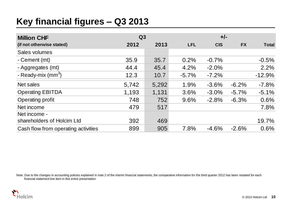#### **Key financial figures – Q3 2013**

| <b>Million CHF</b>                                                                                                                                                                         | Q3    |       |            |            |           |              |
|--------------------------------------------------------------------------------------------------------------------------------------------------------------------------------------------|-------|-------|------------|------------|-----------|--------------|
| (if not otherwise stated)                                                                                                                                                                  | 2012  | 2013  | <b>LFL</b> | <b>CIS</b> | <b>FX</b> | <b>Total</b> |
| Sales volumes                                                                                                                                                                              |       |       |            |            |           |              |
| - Cement (mt)                                                                                                                                                                              | 35.9  | 35.7  | 0.2%       | $-0.7%$    |           | $-0.5%$      |
| - Aggregates (mt)                                                                                                                                                                          | 44.4  | 45.4  | 4.2%       | $-2.0%$    |           | 2.2%         |
| - Ready-mix $\text{(mm}^3)$                                                                                                                                                                | 12.3  | 10.7  | $-5.7%$    | $-7.2%$    |           | $-12.9%$     |
| Net sales                                                                                                                                                                                  | 5,742 | 5,292 | 1.9%       | $-3.6%$    | $-6.2%$   | $-7.8%$      |
| <b>Operating EBITDA</b>                                                                                                                                                                    | 1,193 | 1,131 | 3.6%       | $-3.0%$    | $-5.7\%$  | $-5.1%$      |
| Operating profit                                                                                                                                                                           | 748   | 752   | 9.6%       | $-2.8%$    | $-6.3%$   | 0.6%         |
| Net income                                                                                                                                                                                 | 479   | 517   |            |            |           | 7.8%         |
| Net income -                                                                                                                                                                               |       |       |            |            |           |              |
| shareholders of Holcim Ltd                                                                                                                                                                 | 392   | 469   |            |            |           | 19.7%        |
| Cash flow from operating activities                                                                                                                                                        | 899   | 905   | 7.8%       | $-4.6%$    | $-2.6%$   | 0.6%         |
| Note: Due to the changes in accounting policies explained in note 2 of the interim financial statements, the comparative information for the third quarter 2012 has been restated for each |       |       |            |            |           |              |

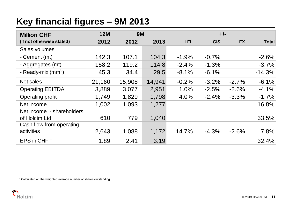## **Key financial figures – 9M 2013**

| <b>Million CHF</b>             | <b>12M</b> | <b>9M</b> |        |            | $+/-$      |           |              |
|--------------------------------|------------|-----------|--------|------------|------------|-----------|--------------|
| (if not otherwise stated)      | 2012       | 2012      | 2013   | <b>LFL</b> | <b>CIS</b> | <b>FX</b> | <b>Total</b> |
| Sales volumes                  |            |           |        |            |            |           |              |
| - Cement (mt)                  | 142.3      | 107.1     | 104.3  | $-1.9%$    | $-0.7%$    |           | $-2.6%$      |
| - Aggregates (mt)              | 158.2      | 119.2     | 114.8  | $-2.4%$    | $-1.3%$    |           | $-3.7%$      |
| - Ready-mix (mm <sup>3</sup> ) | 45.3       | 34.4      | 29.5   | $-8.1%$    | $-6.1%$    |           | $-14.3%$     |
| Net sales                      | 21,160     | 15,908    | 14,941 | $-0.2%$    | $-3.2%$    | $-2.7%$   | $-6.1%$      |
| <b>Operating EBITDA</b>        | 3,889      | 3,077     | 2,951  | 1.0%       | $-2.5%$    | $-2.6%$   | $-4.1%$      |
| Operating profit               | 1,749      | 1,829     | 1,798  | 4.0%       | $-2.4%$    | $-3.3%$   | $-1.7%$      |
| Net income                     | 1,002      | 1,093     | 1,277  |            |            |           | 16.8%        |
| Net income - shareholders      |            |           |        |            |            |           |              |
| of Holcim Ltd                  | 610        | 779       | 1,040  |            |            |           | 33.5%        |
| Cash flow from operating       |            |           |        |            |            |           |              |
| activities                     | 2,643      | 1,088     | 1,172  | 14.7%      | $-4.3\%$   | $-2.6%$   | 7.8%         |
| EPS in CHF $1$                 | 1.89       | 2.41      | 3.19   |            |            |           | 32.4%        |

<sup>1</sup> Calculated on the weighted average number of shares outstanding.

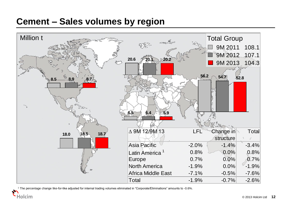#### **Cement – Sales volumes by region**



<sup>1</sup> The percentage change like-for-like adjusted for internal trading volumes eliminated in "Corporate/Eliminations" amounts to -0.6%.

**Holcim**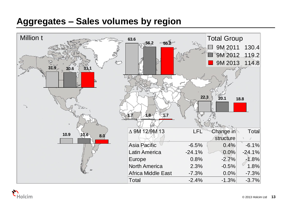#### **Aggregates – Sales volumes by region**



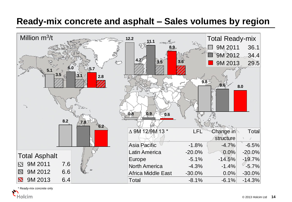#### **Ready-mix concrete and asphalt – Sales volumes by region**



Ready-mix concrete only Holcim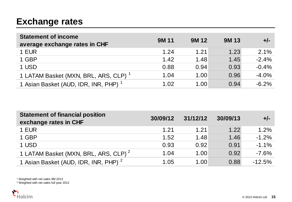#### **Exchange rates**

| <b>Statement of income</b><br>average exchange rates in CHF | <b>9M11</b> | <b>9M12</b> | <b>9M13</b> | $+/-$    |
|-------------------------------------------------------------|-------------|-------------|-------------|----------|
| 1 EUR                                                       | 1.24        | 1.21        | 1.23        | 2.1%     |
| 1 GBP                                                       | 1.42        | 1.48        | 1.45        | $-2.4%$  |
| 1 USD                                                       | 0.88        | 0.94        | 0.93        | $-0.4%$  |
| 1 LATAM Basket (MXN, BRL, ARS, CLP) <sup>1</sup>            | 1.04        | 1.00        | 0.96        | $-4.0%$  |
| 1 Asian Basket (AUD, IDR, INR, PHP) <sup>1</sup>            | 1.02        | 1.00        | 0.94        | $-6.2\%$ |

| <b>Statement of financial position</b><br>exchange rates in CHF | 30/09/12 | 31/12/12 | 30/09/13 | $+/-$    |
|-----------------------------------------------------------------|----------|----------|----------|----------|
| 1 EUR                                                           | 1.21     | 1.21     | 1.22     | 1.2%     |
| 1 GBP                                                           | 1.52     | 1.48     | 1.46     | $-1.2%$  |
| 1 USD                                                           | 0.93     | 0.92     | 0.91     | $-1.1%$  |
| 1 LATAM Basket (MXN, BRL, ARS, CLP) <sup>2</sup>                | 1.04     | 1.00     | 0.92     | $-7.6%$  |
| 1 Asian Basket (AUD, IDR, INR, PHP) <sup>2</sup>                | 1.05     | 1.00     | 0.88     | $-12.5%$ |

<sup>1</sup> Weighted with net sales 9M 2013

<sup>2</sup> Weighted with net sales full year 2012

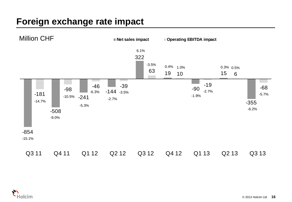#### **Foreign exchange rate impact**



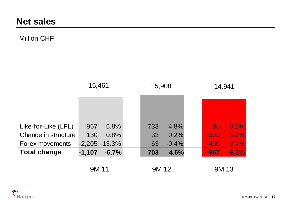#### Million CHF

|                     | 15,461   |                  | 15,908 |         |  | 14,941 |             |  |
|---------------------|----------|------------------|--------|---------|--|--------|-------------|--|
|                     |          |                  |        |         |  |        |             |  |
|                     |          |                  |        |         |  |        |             |  |
| Like-for-Like (LFL) | 967      | 5.8%             | 733    | 4.8%    |  | $-35$  | $-0.2%$     |  |
| Change in structure | 130      | 0.8%             | 33     | 0.2%    |  | $-503$ | $-3.2%$     |  |
| Forex movements     |          | $-2,205 - 13.3%$ | $-63$  | $-0.4%$ |  | $-430$ | $-2.7%$     |  |
| <b>Total change</b> | $-1,107$ | $-6.7%$          | 703    | 4.6%    |  | $-967$ | $-6.1%$     |  |
|                     | 9M 11    |                  | 9M 12  |         |  |        | <b>9M13</b> |  |

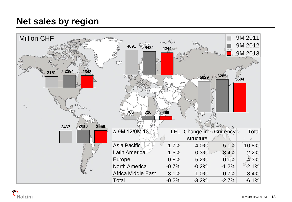#### **Net sales by region**



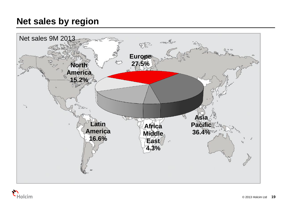#### **Net sales by region**



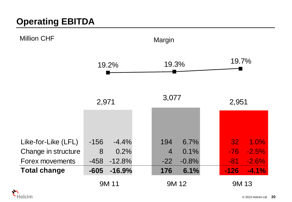

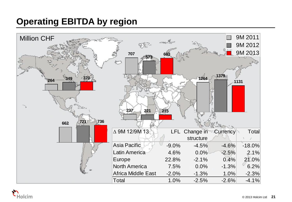## **Operating EBITDA by region**



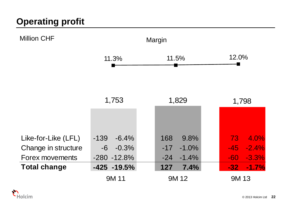

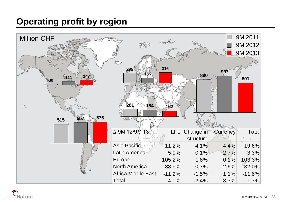#### **Operating profit by region**



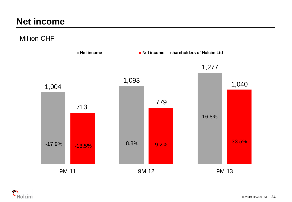#### **Net income**

Million CHF



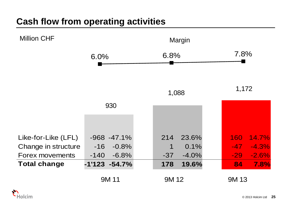#### **Cash flow from operating activities**



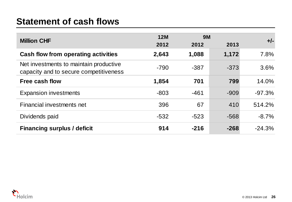#### **Statement of cash flows**

| <b>Statement of cash flows</b>                                                   |                    |                   |        |          |
|----------------------------------------------------------------------------------|--------------------|-------------------|--------|----------|
| <b>Million CHF</b>                                                               | <b>12M</b><br>2012 | <b>9M</b><br>2012 | 2013   | $+/-$    |
| <b>Cash flow from operating activities</b>                                       | 2,643              | 1,088             | 1,172  | 7.8%     |
| Net investments to maintain productive<br>capacity and to secure competitiveness | $-790$             | $-387$            | $-373$ | 3.6%     |
| Free cash flow                                                                   | 1,854              | 701               | 799    | 14.0%    |
| <b>Expansion investments</b>                                                     | $-803$             | $-461$            | $-909$ | $-97.3%$ |
| Financial investments net                                                        | 396                | 67                | 410    | 514.2%   |
| Dividends paid                                                                   | $-532$             | $-523$            | $-568$ | $-8.7\%$ |
| <b>Financing surplus / deficit</b>                                               | 914                | $-216$            | $-268$ | $-24.3%$ |

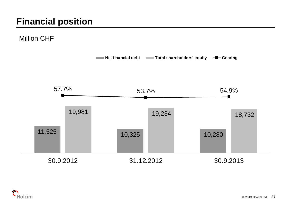Million CHF



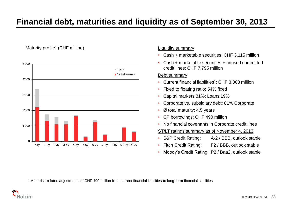#### **Financial debt, maturities and liquidity as of September 30, 2013**

#### Maturity profile<sup>1</sup> (CHF million)



#### Liquidity summary

- Cash + marketable securities: CHF 3,115 million
- Cash + marketable securities + unused committed credit lines: CHF 7,795 million

#### Debt summary

- Current financial liabilities<sup>1</sup>: CHF 3,368 million
- Fixed to floating ratio: 54% fixed
- Capital markets 81%; Loans 19%
- Corporate vs. subsidiary debt: 81% Corporate
- $\varnothing$  total maturity: 4.5 years
- CP borrowings: CHF 490 million
- No financial covenants in Corporate credit lines

ST/LT ratings summary as of November 4, 2013

- S&P Credit Rating: A-2 / BBB, outlook stable
- Fitch Credit Rating: F2 / BBB, outlook stable
- Moody's Credit Rating: P2 / Baa2, outlook stable

<sup>1</sup> After risk-related adjustments of CHF 490 million from current financial liabilities to long-term financial liabilities

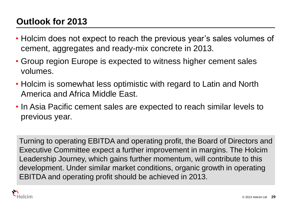## **Outlook for 2013**

- Holcim does not expect to reach the previous year's sales volumes of cement, aggregates and ready-mix concrete in 2013.
- Group region Europe is expected to witness higher cement sales volumes.
- Holcim is somewhat less optimistic with regard to Latin and North America and Africa Middle East.
- In Asia Pacific cement sales are expected to reach similar levels to previous year.

Turning to operating EBITDA and operating profit, the Board of Directors and Executive Committee expect a further improvement in margins. The Holcim Leadership Journey, which gains further momentum, will contribute to this development. Under similar market conditions, organic growth in operating EBITDA and operating profit should be achieved in 2013.

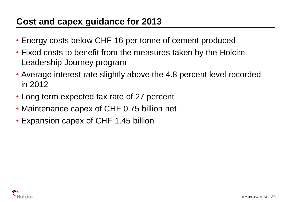#### **Cost and capex guidance for 2013**

- Energy costs below CHF 16 per tonne of cement produced
- Fixed costs to benefit from the measures taken by the Holcim Leadership Journey program
- Average interest rate slightly above the 4.8 percent level recorded in 2012
- Long term expected tax rate of 27 percent
- Maintenance capex of CHF 0.75 billion net
- Expansion capex of CHF 1.45 billion

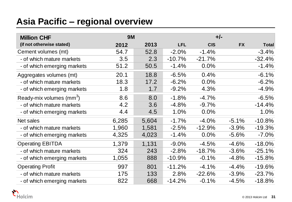#### **Asia Pacific – regional overview**

| <b>Asia Pacific – regional overview</b> |           |       |            |            |           |              |
|-----------------------------------------|-----------|-------|------------|------------|-----------|--------------|
| <b>Million CHF</b>                      | <b>9M</b> |       |            | $+/-$      |           |              |
| (if not otherwise stated)               | 2012      | 2013  | <b>LFL</b> | <b>CIS</b> | <b>FX</b> | <b>Total</b> |
| Cement volumes (mt)                     | 54.7      | 52.8  | $-2.0%$    | $-1.4%$    |           | $-3.4%$      |
| - of which mature markets               | 3.5       | 2.3   | $-10.7%$   | $-21.7%$   |           | $-32.4%$     |
| - of which emerging markets             | 51.2      | 50.5  | $-1.4%$    | 0.0%       |           | $-1.4%$      |
| Aggregates volumes (mt)                 | 20.1      | 18.8  | $-6.5%$    | 0.4%       |           | $-6.1%$      |
| - of which mature markets               | 18.3      | 17.2  | $-6.2%$    | 0.0%       |           | $-6.2%$      |
| - of which emerging markets             | 1.8       | 1.7   | $-9.2%$    | 4.3%       |           | $-4.9%$      |
| Ready-mix volumes (mm <sup>3</sup> )    | 8.6       | 8.0   | $-1.8%$    | $-4.7%$    |           | $-6.5%$      |
| - of which mature markets               | 4.2       | 3.6   | $-4.8%$    | $-9.7%$    |           | $-14.4%$     |
| - of which emerging markets             | 4.4       | 4.5   | 1.0%       | 0.0%       |           | 1.0%         |
| Net sales                               | 6,285     | 5,604 | $-1.7%$    | $-4.0%$    | $-5.1%$   | $-10.8%$     |
| - of which mature markets               | 1,960     | 1,581 | $-2.5%$    | $-12.9\%$  | $-3.9%$   | $-19.3%$     |
| - of which emerging markets             | 4,325     | 4,023 | $-1.4%$    | 0.0%       | $-5.6%$   | $-7.0%$      |
| <b>Operating EBITDA</b>                 | 1,379     | 1,131 | $-9.0%$    | $-4.5%$    | $-4.6%$   | $-18.0%$     |
| - of which mature markets               | 324       | 243   | $-2.8%$    | $-18.7%$   | $-3.6%$   | $-25.1%$     |
| - of which emerging markets             | 1,055     | 888   | $-10.9%$   | $-0.1%$    | $-4.8%$   | $-15.8%$     |
| <b>Operating Profit</b>                 | 997       | 801   | $-11.2%$   | $-4.1%$    | $-4.4%$   | $-19.6%$     |
| - of which mature markets               | 175       | 133   | 2.8%       | $-22.6%$   | $-3.9%$   | $-23.7%$     |
| - of which emerging markets             | 822       | 668   | $-14.2%$   | $-0.1%$    | $-4.5%$   | $-18.8%$     |

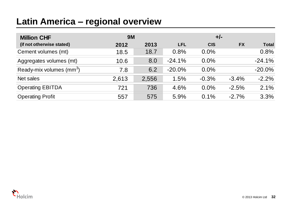#### **Latin America – regional overview**

| Latin America – regional overview    |           |       |            |            |           |              |
|--------------------------------------|-----------|-------|------------|------------|-----------|--------------|
| <b>Million CHF</b>                   | <b>9M</b> |       |            | $+/-$      |           |              |
| (if not otherwise stated)            | 2012      | 2013  | <b>LFL</b> | <b>CIS</b> | <b>FX</b> | <b>Total</b> |
| Cement volumes (mt)                  | 18.5      | 18.7  | 0.8%       | $0.0\%$    |           | 0.8%         |
| Aggregates volumes (mt)              | 10.6      | 8.0   | $-24.1%$   | 0.0%       |           | $-24.1%$     |
| Ready-mix volumes (mm <sup>3</sup> ) | 7.8       | 6.2   | $-20.0%$   | 0.0%       |           | $-20.0\%$    |
| Net sales                            | 2,613     | 2,556 | 1.5%       | $-0.3%$    | $-3.4%$   | $-2.2%$      |
| <b>Operating EBITDA</b>              | 721       | 736   | 4.6%       | 0.0%       | $-2.5%$   | 2.1%         |
| <b>Operating Profit</b>              | 557       | 575   | 5.9%       | 0.1%       | $-2.7%$   | 3.3%         |

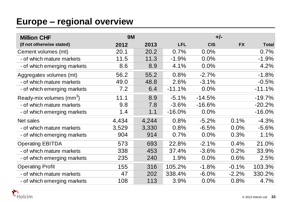#### **Europe – regional overview**

| <b>Europe - regional overview</b> |           |       |            |            |           |              |
|-----------------------------------|-----------|-------|------------|------------|-----------|--------------|
| <b>Million CHF</b>                | <b>9M</b> |       |            |            | $+/-$     |              |
| (if not otherwise stated)         | 2012      | 2013  | <b>LFL</b> | <b>CIS</b> | <b>FX</b> | <b>Total</b> |
| Cement volumes (mt)               | 20.1      | 20.2  | 0.7%       | 0.0%       |           | 0.7%         |
| - of which mature markets         | 11.5      | 11.3  | $-1.9%$    | 0.0%       |           | $-1.9%$      |
| - of which emerging markets       | 8.6       | 8.9   | 4.1%       | 0.0%       |           | 4.2%         |
| Aggregates volumes (mt)           | 56.2      | 55.2  | 0.8%       | $-2.7%$    |           | $-1.8%$      |
| - of which mature markets         | 49.0      | 48.8  | 2.6%       | $-3.1%$    |           | $-0.5%$      |
| - of which emerging markets       | 7.2       | 6.4   | $-11.1%$   | 0.0%       |           | $-11.1%$     |
| Ready-mix volumes $\text{(mm}^3)$ | 11.1      | 8.9   | $-5.1%$    | $-14.5%$   |           | $-19.7%$     |
| - of which mature markets         | 9.8       | 7.8   | $-3.6%$    | $-16.6%$   |           | $-20.2%$     |
| - of which emerging markets       | 1.4       | 1.1   | $-16.0%$   | 0.0%       |           | $-16.0%$     |
| Net sales                         | 4,434     | 4,244 | 0.8%       | $-5.2%$    | 0.1%      | $-4.3%$      |
| - of which mature markets         | 3,529     | 3,330 | 0.8%       | $-6.5%$    | 0.0%      | $-5.6%$      |
| - of which emerging markets       | 904       | 914   | 0.7%       | 0.0%       | 0.3%      | 1.1%         |
| <b>Operating EBITDA</b>           | 573       | 693   | 22.8%      | $-2.1%$    | 0.4%      | 21.0%        |
| - of which mature markets         | 338       | 453   | 37.4%      | $-3.6%$    | 0.2%      | 33.9%        |
| - of which emerging markets       | 235       | 240   | 1.9%       | 0.0%       | 0.6%      | 2.5%         |
| <b>Operating Profit</b>           | 155       | 316   | 105.2%     | $-1.8%$    | $-0.1%$   | 103.3%       |
| - of which mature markets         | 47        | 202   | 338.4%     | $-6.0%$    | $-2.2%$   | 330.2%       |
| - of which emerging markets       | 108       | 113   | 3.9%       | 0.0%       | 0.8%      | 4.7%         |

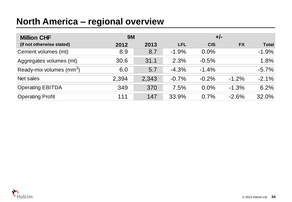#### **North America – regional overview**

| <b>North America – regional overview</b> |           |       |            |            |           |              |
|------------------------------------------|-----------|-------|------------|------------|-----------|--------------|
| <b>Million CHF</b>                       | <b>9M</b> |       |            | $+/-$      |           |              |
| (if not otherwise stated)                | 2012      | 2013  | <b>LFL</b> | <b>CIS</b> | <b>FX</b> | <b>Total</b> |
| Cement volumes (mt)                      | 8.9       | 8.7   | $-1.9%$    | $0.0\%$    |           | $-1.9%$      |
| Aggregates volumes (mt)                  | 30.6      | 31.1  | 2.3%       | $-0.5%$    |           | 1.8%         |
| Ready-mix volumes (mm <sup>3</sup> )     | 6.0       | 5.7   | $-4.3%$    | $-1.4%$    |           | $-5.7%$      |
| Net sales                                | 2,394     | 2,343 | $-0.7%$    | $-0.2%$    | $-1.2%$   | $-2.1%$      |
| <b>Operating EBITDA</b>                  | 349       | 370   | 7.5%       | $0.0\%$    | $-1.3%$   | 6.2%         |
| <b>Operating Profit</b>                  | 111       | 147   | 33.9%      | 0.7%       | $-2.6%$   | 32.0%        |

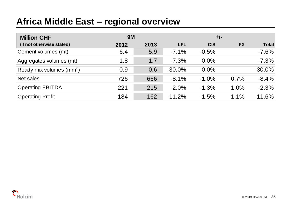#### **Africa Middle East – regional overview**

| Africa Middle East – regional overview |           |      |            |            |           |              |
|----------------------------------------|-----------|------|------------|------------|-----------|--------------|
| <b>Million CHF</b>                     | <b>9M</b> |      |            | $+/-$      |           |              |
| (if not otherwise stated)              | 2012      | 2013 | <b>LFL</b> | <b>CIS</b> | <b>FX</b> | <b>Total</b> |
| Cement volumes (mt)                    | 6.4       | 5.9  | $-7.1%$    | $-0.5%$    |           | $-7.6%$      |
| Aggregates volumes (mt)                | 1.8       | 1.7  | $-7.3%$    | $0.0\%$    |           | $-7.3%$      |
| Ready-mix volumes (mm <sup>3</sup> )   | 0.9       | 0.6  | $-30.0%$   | $0.0\%$    |           | $-30.0%$     |
| Net sales                              | 726       | 666  | $-8.1%$    | $-1.0%$    | 0.7%      | $-8.4%$      |
| <b>Operating EBITDA</b>                | 221       | 215  | $-2.0\%$   | $-1.3%$    | 1.0%      | $-2.3%$      |
| <b>Operating Profit</b>                | 184       | 162  | $-11.2%$   | $-1.5%$    | 1.1%      | $-11.6%$     |

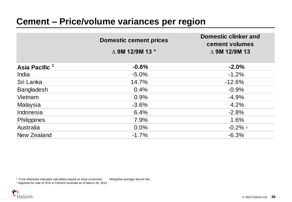|                           | <b>Domestic cement prices</b>      | <b>Domestic clinker and</b><br>cement volumes |
|---------------------------|------------------------------------|-----------------------------------------------|
|                           | $\triangle$ 9M 12/9M 13 $^{\star}$ | $\triangle$ 9M 12/9M 13                       |
| Asia Pacific <sup>1</sup> | $-0.6%$                            | $-2.0%$                                       |
| India                     | $-5.0\%$                           | $-1.2%$                                       |
| Sri Lanka                 | 14.7%                              | $-12.6%$                                      |
| <b>Bangladesh</b>         | 0.4%                               | $-0.9%$                                       |
| Vietnam                   | 0.9%                               | $-4.9%$                                       |
| Malaysia                  | $-3.6%$                            | 4.2%                                          |
| Indonesia                 | 6.4%                               | $-2.8%$                                       |
| <b>Philippines</b>        | 7.9%                               | 1.6%                                          |
| Australia                 | 0.0%                               | $-0.2\%$ 2                                    |
| New Zealand               | $-1.7%$                            | $-6.3%$                                       |

\* If not otherwise indicated calculation based on local currencies <sup>1</sup>Weighted average like-for-like

<sup>2</sup> Adjusted for sale of 25% in Cement Australia as of March 28, 2013

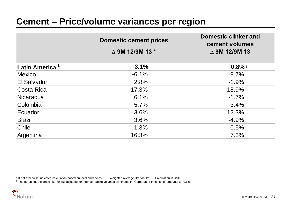|                            | <b>Domestic cement prices</b><br>$\triangle$ 9M 12/9M 13 $^{\star}$ | <b>Domestic clinker and</b><br>cement volumes<br>$\triangle$ 9M 12/9M 13 |
|----------------------------|---------------------------------------------------------------------|--------------------------------------------------------------------------|
| Latin America <sup>1</sup> | 3.1%                                                                | $0.8\%$ 3                                                                |
| <b>Mexico</b>              | $-6.1%$                                                             | $-9.7%$                                                                  |
| El Salvador                | $2.8\%$ 2                                                           | $-1.9%$                                                                  |
| Costa Rica                 | 17.3%                                                               | 18.9%                                                                    |
| Nicaragua                  | $6.1\%$ <sup>2</sup>                                                | $-1.7%$                                                                  |
| Colombia                   | 5.7%                                                                | $-3.4%$                                                                  |
| Ecuador                    | $3.6\%$ 2                                                           | 12.3%                                                                    |
| <b>Brazil</b>              | 3.6%                                                                | $-4.9%$                                                                  |
| Chile                      | 1.3%                                                                | 0.5%                                                                     |
| Argentina                  | 16.3%                                                               | 7.3%                                                                     |

\* If not otherwise indicated calculation based on local currencies 1Weighted average like-for-like <sup>2</sup> Calculation in USD

<sup>3</sup> The percentage change like-for-like adjusted for internal trading volumes eliminated in "Corporate/Eliminations" amounts to -0.6%.

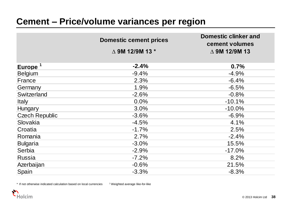|                       | <b>Domestic cement prices</b>      | <b>Domestic clinker and</b><br>cement volumes |
|-----------------------|------------------------------------|-----------------------------------------------|
|                       | $\triangle$ 9M 12/9M 13 $^{\star}$ | $\triangle$ 9M 12/9M 13                       |
| Europe <sup>1</sup>   | $-2.4%$                            | 0.7%                                          |
| <b>Belgium</b>        | $-9.4%$                            | $-4.9%$                                       |
| France                | 2.3%                               | $-6.4%$                                       |
| Germany               | 1.9%                               | $-6.5%$                                       |
| Switzerland           | $-2.6%$                            | $-0.8%$                                       |
| <b>Italy</b>          | 0.0%                               | $-10.1%$                                      |
| Hungary               | 3.0%                               | $-10.0\%$                                     |
| <b>Czech Republic</b> | $-3.6%$                            | $-6.9%$                                       |
| Slovakia              | $-4.5%$                            | 4.1%                                          |
| Croatia               | $-1.7%$                            | 2.5%                                          |
| Romania               | 2.7%                               | $-2.4%$                                       |
| <b>Bulgaria</b>       | $-3.0%$                            | 15.5%                                         |
| Serbia                | $-2.9%$                            | $-17.0%$                                      |
| <b>Russia</b>         | $-7.2%$                            | 8.2%                                          |
| Azerbaijan            | $-0.6%$                            | 21.5%                                         |
| Spain                 | $-3.3%$                            | $-8.3%$                                       |

\* If not otherwise indicated calculation based on local currencies

<sup>1</sup>Weighted average like-for-like

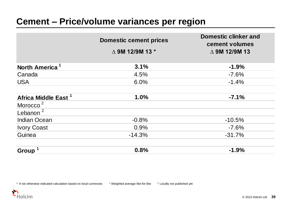|                                 | <b>Domestic cement prices</b> | <b>Domestic clinker and</b><br>cement volumes |
|---------------------------------|-------------------------------|-----------------------------------------------|
|                                 | $\triangle$ 9M 12/9M 13 $*$   | $\triangle$ 9M 12/9M 13                       |
| North America <sup>1</sup>      | 3.1%                          | $-1.9%$                                       |
| Canada                          | 4.5%                          | $-7.6%$                                       |
| <b>USA</b>                      | 6.0%                          | $-1.4%$                                       |
| Africa Middle East <sup>1</sup> | 1.0%                          | $-7.1%$                                       |
| Morocco <sup>2</sup>            |                               |                                               |
| Lebanon $^2$                    |                               |                                               |
| <b>Indian Ocean</b>             | $-0.8%$                       | $-10.5%$                                      |
| <b>Ivory Coast</b>              | 0.9%                          | $-7.6%$                                       |
| Guinea                          | $-14.3%$                      | $-31.7%$                                      |
| <b>Group</b>                    | 0.8%                          | $-1.9%$                                       |

\* If not otherwise indicated calculation based on local currencies 1 Weighted average like-for-like 2 Locally not published yet

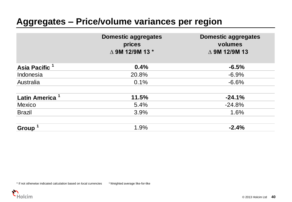#### **Aggregates – Price/volume variances per region**

|                            | <b>Domestic aggregates</b><br>prices<br>△ 9M 12/9M 13 * | <b>Domestic aggregates</b><br>volumes<br>$\triangle$ 9M 12/9M 13 |
|----------------------------|---------------------------------------------------------|------------------------------------------------------------------|
| Asia Pacific <sup>1</sup>  | 0.4%                                                    | $-6.5%$                                                          |
| Indonesia                  | 20.8%                                                   | $-6.9%$                                                          |
| Australia                  | 0.1%                                                    | $-6.6%$                                                          |
| Latin America <sup>1</sup> | 11.5%                                                   | $-24.1%$                                                         |
| <b>Mexico</b>              | 5.4%                                                    | $-24.8%$                                                         |
| <b>Brazil</b>              | 3.9%                                                    | 1.6%                                                             |
| Group <sup>1</sup>         | 1.9%                                                    | $-2.4%$                                                          |

\* If not otherwise indicated calculation based on local currencies <sup>1</sup>Weighted average like-for-like

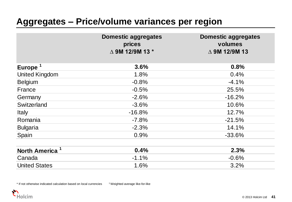#### **Aggregates – Price/volume variances per region**

|                            | <b>Domestic aggregates</b><br>prices<br>△ 9M 12/9M 13 * | <b>Domestic aggregates</b><br>volumes<br>$\triangle$ 9M 12/9M 13 |
|----------------------------|---------------------------------------------------------|------------------------------------------------------------------|
| Europe <sup>1</sup>        | 3.6%                                                    | 0.8%                                                             |
| <b>United Kingdom</b>      | 1.8%                                                    | 0.4%                                                             |
| <b>Belgium</b>             | $-0.8%$                                                 | $-4.1%$                                                          |
| France                     | $-0.5%$                                                 | 25.5%                                                            |
| Germany                    | $-2.6%$                                                 | $-16.2%$                                                         |
| Switzerland                | $-3.6%$                                                 | 10.6%                                                            |
| <b>Italy</b>               | $-16.8%$                                                | 12.7%                                                            |
| Romania                    | $-7.8%$                                                 | $-21.5%$                                                         |
| <b>Bulgaria</b>            | $-2.3%$                                                 | 14.1%                                                            |
| Spain                      | 0.9%                                                    | $-33.6%$                                                         |
| North America <sup>1</sup> | 0.4%                                                    | 2.3%                                                             |
| Canada                     | $-1.1%$                                                 | $-0.6%$                                                          |
| <b>United States</b>       | 1.6%                                                    | 3.2%                                                             |

\* If not otherwise indicated calculation based on local currencies <sup>1</sup>Weighted average like-for-like

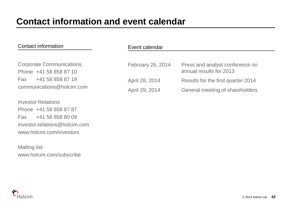#### Contact information

Corporate Communications Phone +41 58 858 87 10 Fax +41 58 858 87 19 communications@holcim.com

Investor Relations Phone +41 58 858 87 87 Fax +41 58 858 80 09 investor.relations@holcim.com www.holcim.com/investors

Mailing list: www.holcim.com/subscribe

| Event calendar |  |
|----------------|--|
|----------------|--|

| February 26, 2014 | Press and analyst conference on<br>annual results for 2013 |
|-------------------|------------------------------------------------------------|
| April 28, 2014    | Results for the first quarter 2014                         |
| April 29, 2014    | General meeting of shareholders                            |

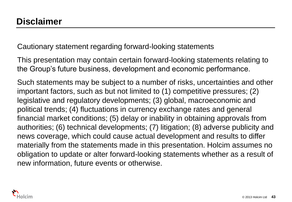Cautionary statement regarding forward-looking statements

This presentation may contain certain forward-looking statements relating to the Group's future business, development and economic performance.

Such statements may be subject to a number of risks, uncertainties and other important factors, such as but not limited to (1) competitive pressures; (2) legislative and regulatory developments; (3) global, macroeconomic and political trends; (4) fluctuations in currency exchange rates and general financial market conditions; (5) delay or inability in obtaining approvals from authorities; (6) technical developments; (7) litigation; (8) adverse publicity and news coverage, which could cause actual development and results to differ materially from the statements made in this presentation. Holcim assumes no obligation to update or alter forward-looking statements whether as a result of new information, future events or otherwise.

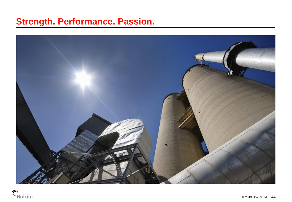#### **Strength. Performance. Passion.**